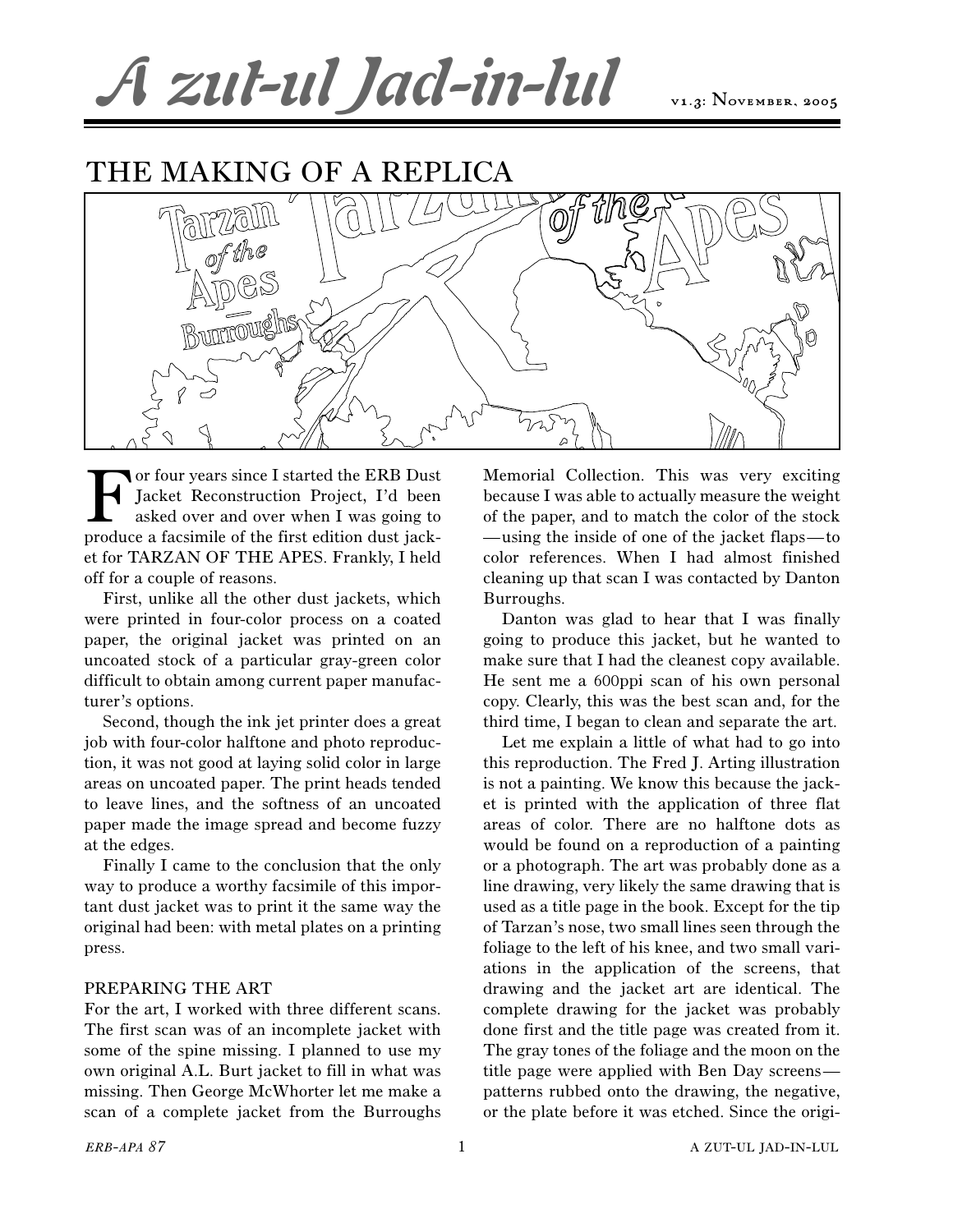## A zut-ul Jad-in-lul

## THE MAKING OF A REPLICA



For four years since I started the ERB Dust<br>Jacket Reconstruction Project, I'd been<br>asked over and over when I was going to<br>produce a facsimile of the first edition dust jack-Jacket Reconstruction Project, I'd been asked over and over when I was going to produce a facsimile of the first edition dust jacket for TARZAN OF THE APES. Frankly, I held off for a couple of reasons.

First, unlike all the other dust jackets, which were printed in four-color process on a coated paper, the original jacket was printed on an uncoated stock of a particular gray-green color difficult to obtain among current paper manufacturer's options.

Second, though the ink jet printer does a great job with four-color halftone and photo reproduction, it was not good at laying solid color in large areas on uncoated paper. The print heads tended to leave lines, and the softness of an uncoated paper made the image spread and become fuzzy at the edges.

Finally I came to the conclusion that the only way to produce a worthy facsimile of this important dust jacket was to print it the same way the original had been: with metal plates on a printing press.

## PREPARING THE ART

For the art, I worked with three different scans. The first scan was of an incomplete jacket with some of the spine missing. I planned to use my own original A.L. Burt jacket to fill in what was missing. Then George McWhorter let me make a scan of a complete jacket from the Burroughs

Memorial Collection. This was very exciting because I was able to actually measure the weight of the paper, and to match the color of the stock —using the inside of one of the jacket flaps—to color references. When I had almost finished cleaning up that scan I was contacted by Danton Burroughs.

Danton was glad to hear that I was finally going to produce this jacket, but he wanted to make sure that I had the cleanest copy available. He sent me a 600ppi scan of his own personal copy. Clearly, this was the best scan and, for the third time, I began to clean and separate the art.

Let me explain a little of what had to go into this reproduction. The Fred J. Arting illustration is not a painting. We know this because the jacket is printed with the application of three flat areas of color. There are no halftone dots as would be found on a reproduction of a painting or a photograph. The art was probably done as a line drawing, very likely the same drawing that is used as a title page in the book. Except for the tip of Tarzan's nose, two small lines seen through the foliage to the left of his knee, and two small variations in the application of the screens, that drawing and the jacket art are identical. The complete drawing for the jacket was probably done first and the title page was created from it. The gray tones of the foliage and the moon on the title page were applied with Ben Day screens patterns rubbed onto the drawing, the negative, or the plate before it was etched. Since the origi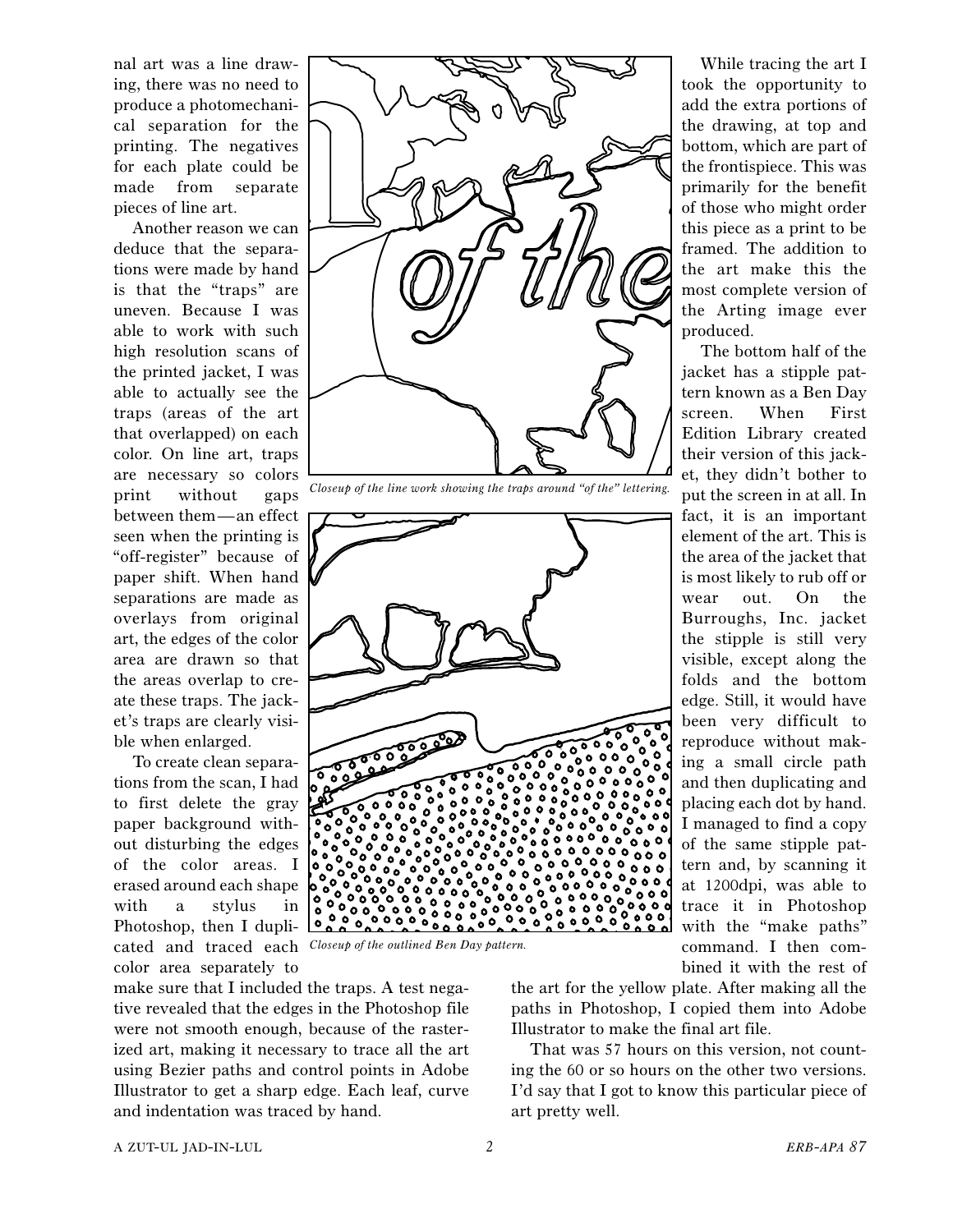nal art was a line drawing, there was no need to produce a photomechanical separation for the printing. The negatives for each plate could be made from separate pieces of line art.

Another reason we can deduce that the separations were made by hand is that the "traps" are uneven. Because I was able to work with such high resolution scans of the printed jacket, I was able to actually see the traps (areas of the art that overlapped) on each color. On line art, traps are necessary so colors print without gaps between them—an effect seen when the printing is "off-register" because of paper shift. When hand separations are made as overlays from original art, the edges of the color area are drawn so that the areas overlap to create these traps. The jacket's traps are clearly visible when enlarged.

To create clean separations from the scan, I had to first delete the gray paper background without disturbing the edges of the color areas. I erased around each shape with a stylus in Photoshop, then I duplicated and traced each *Closeup of the outlined Ben Day pattern.* color area separately to





*Closeup of the line work showing the traps around "of the" lettering.*

![](_page_1_Picture_6.jpeg)

While tracing the art I took the opportunity to add the extra portions of the drawing, at top and bottom, which are part of the frontispiece. This was primarily for the benefit of those who might order this piece as a print to be framed. The addition to the art make this the most complete version of the Arting image ever produced.

The bottom half of the jacket has a stipple pattern known as a Ben Day screen. When First Edition Library created their version of this jacket, they didn't bother to put the screen in at all. In fact, it is an important element of the art. This is the area of the jacket that is most likely to rub off or wear out. On the Burroughs, Inc. jacket the stipple is still very visible, except along the folds and the bottom edge. Still, it would have been very difficult to reproduce without making a small circle path and then duplicating and placing each dot by hand. I managed to find a copy of the same stipple pattern and, by scanning it at 1200dpi, was able to trace it in Photoshop with the "make paths" command. I then combined it with the rest of

the art for the yellow plate. After making all the paths in Photoshop, I copied them into Adobe Illustrator to make the final art file.

That was 57 hours on this version, not counting the 60 or so hours on the other two versions. I'd say that I got to know this particular piece of art pretty well.

A ZUT-UL JAD-IN-LUL 2 *ERB-APA 87*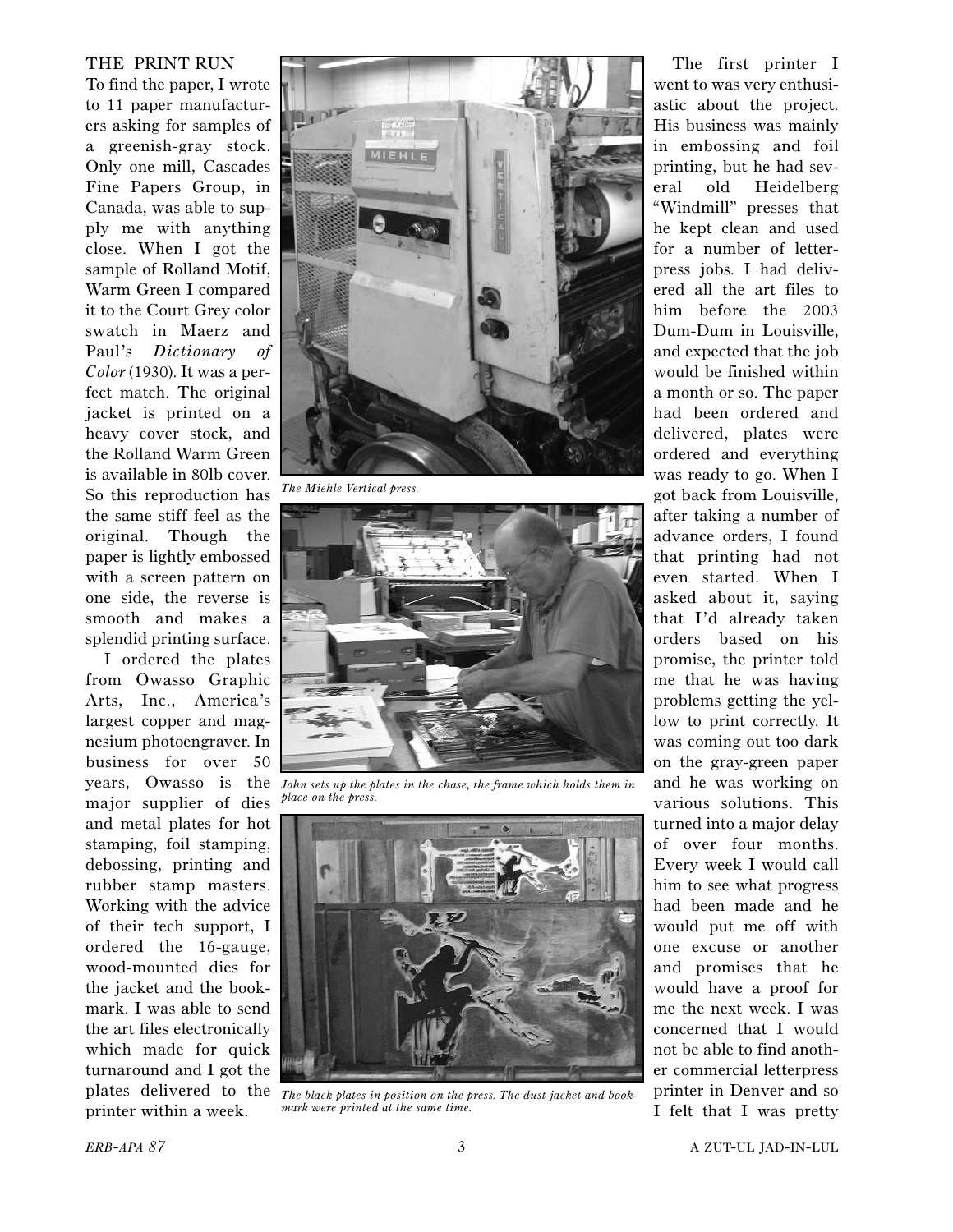## THE PRINT RUN

To find the paper, I wrote to 11 paper manufacturers asking for samples of a greenish-gray stock. Only one mill, Cascades Fine Papers Group, in Canada, was able to supply me with anything close. When I got the sample of Rolland Motif, Warm Green I compared it to the Court Grey color swatch in Maerz and Paul's *Dictionary of Color* (1930). It was a perfect match. The original jacket is printed on a heavy cover stock, and the Rolland Warm Green is available in 80lb cover. So this reproduction has the same stiff feel as the original. Though the paper is lightly embossed with a screen pattern on one side, the reverse is smooth and makes a splendid printing surface.

I ordered the plates from Owasso Graphic Arts, Inc., America's largest copper and magnesium photoengraver. In business for over 50 major supplier of dies and metal plates for hot stamping, foil stamping, debossing, printing and rubber stamp masters. Working with the advice of their tech support, I ordered the 16-gauge, wood-mounted dies for the jacket and the bookmark. I was able to send the art files electronically which made for quick turnaround and I got the printer within a week.

![](_page_2_Picture_3.jpeg)

*The Miehle Vertical press.*

![](_page_2_Picture_5.jpeg)

years, Owasso is the *John sets up the plates in the chase, the frame which holds them in place on the press.*

![](_page_2_Picture_7.jpeg)

plates delivered to the *The black plates in position on the press. The dust jacket and bookmark were printed at the same time.*

The first printer I went to was very enthusiastic about the project. His business was mainly in embossing and foil printing, but he had several old Heidelberg "Windmill" presses that he kept clean and used for a number of letterpress jobs. I had delivered all the art files to him before the 2003 Dum-Dum in Louisville, and expected that the job would be finished within a month or so. The paper had been ordered and delivered, plates were ordered and everything was ready to go. When I got back from Louisville, after taking a number of advance orders, I found that printing had not even started. When I asked about it, saying that I'd already taken orders based on his promise, the printer told me that he was having problems getting the yellow to print correctly. It was coming out too dark on the gray-green paper and he was working on various solutions. This turned into a major delay of over four months. Every week I would call him to see what progress had been made and he would put me off with one excuse or another and promises that he would have a proof for me the next week. I was concerned that I would not be able to find another commercial letterpress printer in Denver and so I felt that I was pretty